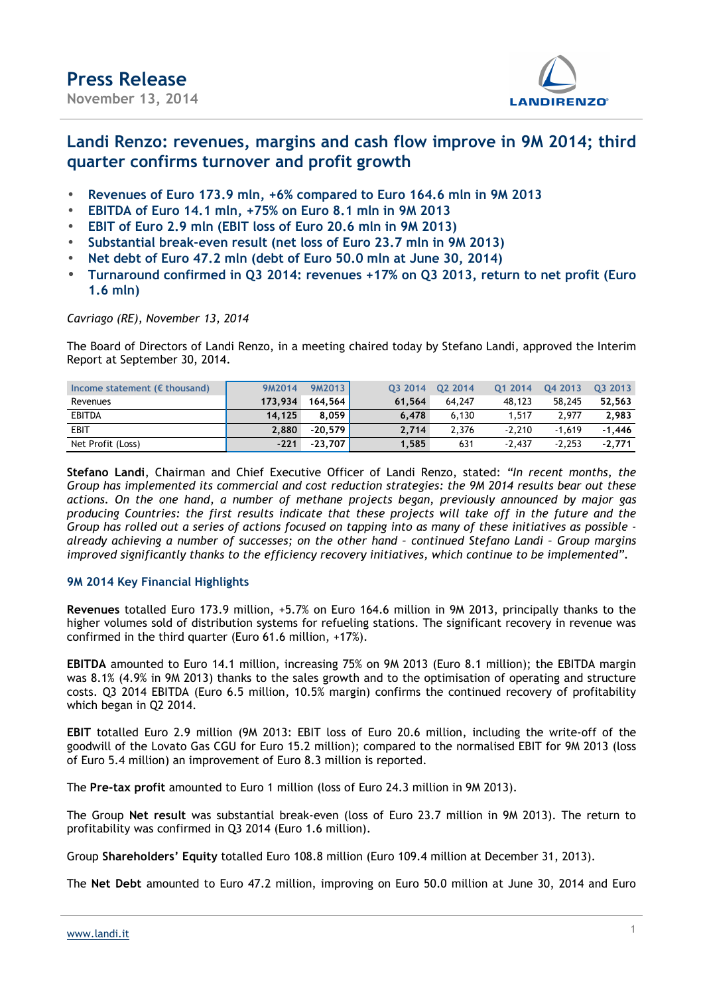

### **Landi Renzo: revenues, margins and cash flow improve in 9M 2014; third quarter confirms turnover and profit growth**

- **Revenues of Euro 173.9 mln, +6% compared to Euro 164.6 mln in 9M 2013**
- **EBITDA of Euro 14.1 mln, +75% on Euro 8.1 mln in 9M 2013**
- **EBIT of Euro 2.9 mln (EBIT loss of Euro 20.6 mln in 9M 2013)**
- **Substantial break-even result (net loss of Euro 23.7 mln in 9M 2013)**
- **Net debt of Euro 47.2 mln (debt of Euro 50.0 mln at June 30, 2014)**
- **Turnaround confirmed in Q3 2014: revenues +17% on Q3 2013, return to net profit (Euro 1.6 mln)**

#### *Cavriago (RE), November 13, 2014*

The Board of Directors of Landi Renzo, in a meeting chaired today by Stefano Landi, approved the Interim Report at September 30, 2014.

| Income statement ( $\epsilon$ thousand) | 9M2014  | 9M2013    | 03 2014 | 02 2014 | 01 2014  | 04 2013  | 03 2013  |
|-----------------------------------------|---------|-----------|---------|---------|----------|----------|----------|
| Revenues                                | 173.934 | 164.564   | 61.564  | 64.247  | 48,123   | 58,245   | 52.563   |
| <b>EBITDA</b>                           | 14.125  | 8.059     | 6.478   | 6,130   | 1,517    | 2,977    | 2,983    |
| <b>EBIT</b>                             | 2.880   | $-20.579$ | 2.714   | 2.376   | $-2.210$ | $-1.619$ | $-1.446$ |
| Net Profit (Loss)                       | $-221$  | $-23.707$ | 1.585   | 631     | $-2.437$ | $-2.253$ | $-2.771$ |

**Stefano Landi**, Chairman and Chief Executive Officer of Landi Renzo, stated: *"In recent months, the Group has implemented its commercial and cost reduction strategies: the 9M 2014 results bear out these actions. On the one hand, a number of methane projects began, previously announced by major gas producing Countries: the first results indicate that these projects will take off in the future and the Group has rolled out a series of actions focused on tapping into as many of these initiatives as possible already achieving a number of successes; on the other hand – continued Stefano Landi – Group margins improved significantly thanks to the efficiency recovery initiatives, which continue to be implemented".*

#### **9M 2014 Key Financial Highlights**

**Revenues** totalled Euro 173.9 million, +5.7% on Euro 164.6 million in 9M 2013, principally thanks to the higher volumes sold of distribution systems for refueling stations. The significant recovery in revenue was confirmed in the third quarter (Euro 61.6 million, +17%).

**EBITDA** amounted to Euro 14.1 million, increasing 75% on 9M 2013 (Euro 8.1 million); the EBITDA margin was 8.1% (4.9% in 9M 2013) thanks to the sales growth and to the optimisation of operating and structure costs. Q3 2014 EBITDA (Euro 6.5 million, 10.5% margin) confirms the continued recovery of profitability which began in Q2 2014.

**EBIT** totalled Euro 2.9 million (9M 2013: EBIT loss of Euro 20.6 million, including the write-off of the goodwill of the Lovato Gas CGU for Euro 15.2 million); compared to the normalised EBIT for 9M 2013 (loss of Euro 5.4 million) an improvement of Euro 8.3 million is reported.

The **Pre-tax profit** amounted to Euro 1 million (loss of Euro 24.3 million in 9M 2013).

The Group **Net result** was substantial break-even (loss of Euro 23.7 million in 9M 2013). The return to profitability was confirmed in Q3 2014 (Euro 1.6 million).

Group **Shareholders' Equity** totalled Euro 108.8 million (Euro 109.4 million at December 31, 2013).

The **Net Debt** amounted to Euro 47.2 million, improving on Euro 50.0 million at June 30, 2014 and Euro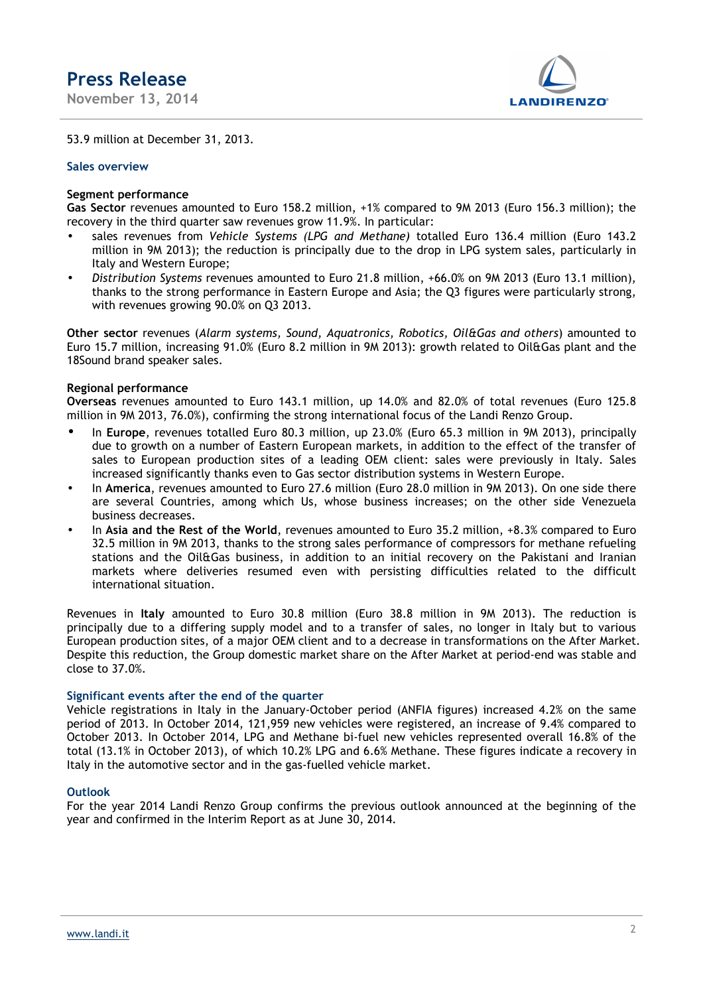**November 13, 2014** 



53.9 million at December 31, 2013.

#### **Sales overview**

#### **Segment performance**

**Gas Sector** revenues amounted to Euro 158.2 million, +1% compared to 9M 2013 (Euro 156.3 million); the recovery in the third quarter saw revenues grow 11.9%. In particular:

- sales revenues from *Vehicle Systems (LPG and Methane)* totalled Euro 136.4 million (Euro 143.2 million in 9M 2013); the reduction is principally due to the drop in LPG system sales, particularly in Italy and Western Europe;
- *Distribution Systems* revenues amounted to Euro 21.8 million, +66.0% on 9M 2013 (Euro 13.1 million), thanks to the strong performance in Eastern Europe and Asia; the Q3 figures were particularly strong, with revenues growing 90.0% on Q3 2013.

**Other sector** revenues (*Alarm systems, Sound, Aquatronics, Robotics, Oil&Gas and others*) amounted to Euro 15.7 million, increasing 91.0% (Euro 8.2 million in 9M 2013): growth related to Oil&Gas plant and the 18Sound brand speaker sales.

#### **Regional performance**

**Overseas** revenues amounted to Euro 143.1 million, up 14.0% and 82.0% of total revenues (Euro 125.8 million in 9M 2013, 76.0%), confirming the strong international focus of the Landi Renzo Group.

- In **Europe**, revenues totalled Euro 80.3 million, up 23.0% (Euro 65.3 million in 9M 2013), principally due to growth on a number of Eastern European markets, in addition to the effect of the transfer of sales to European production sites of a leading OEM client: sales were previously in Italy. Sales increased significantly thanks even to Gas sector distribution systems in Western Europe.
- In **America**, revenues amounted to Euro 27.6 million (Euro 28.0 million in 9M 2013). On one side there are several Countries, among which Us, whose business increases; on the other side Venezuela business decreases.
- In **Asia and the Rest of the World**, revenues amounted to Euro 35.2 million, +8.3% compared to Euro 32.5 million in 9M 2013, thanks to the strong sales performance of compressors for methane refueling stations and the Oil&Gas business, in addition to an initial recovery on the Pakistani and Iranian markets where deliveries resumed even with persisting difficulties related to the difficult international situation.

Revenues in **Italy** amounted to Euro 30.8 million (Euro 38.8 million in 9M 2013). The reduction is principally due to a differing supply model and to a transfer of sales, no longer in Italy but to various European production sites, of a major OEM client and to a decrease in transformations on the After Market. Despite this reduction, the Group domestic market share on the After Market at period-end was stable and close to 37.0%.

#### **Significant events after the end of the quarter**

Vehicle registrations in Italy in the January-October period (ANFIA figures) increased 4.2% on the same period of 2013. In October 2014, 121,959 new vehicles were registered, an increase of 9.4% compared to October 2013. In October 2014, LPG and Methane bi-fuel new vehicles represented overall 16.8% of the total (13.1% in October 2013), of which 10.2% LPG and 6.6% Methane. These figures indicate a recovery in Italy in the automotive sector and in the gas-fuelled vehicle market.

#### **Outlook**

For the year 2014 Landi Renzo Group confirms the previous outlook announced at the beginning of the year and confirmed in the Interim Report as at June 30, 2014.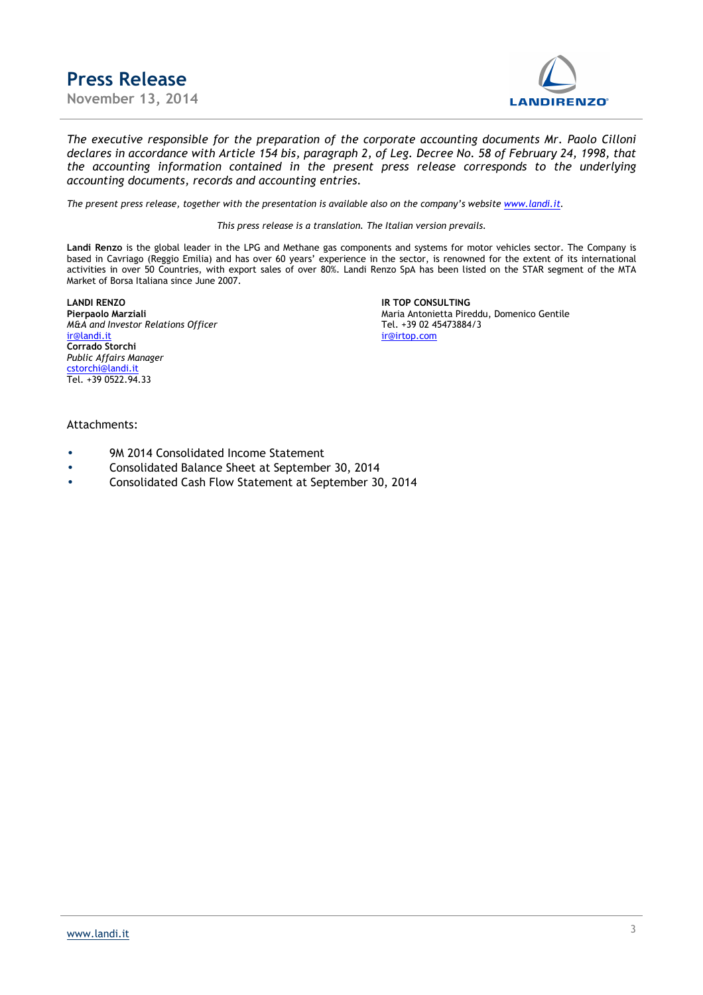**Press Release November 13, 2014** 



*The executive responsible for the preparation of the corporate accounting documents Mr. Paolo Cilloni declares in accordance with Article 154 bis, paragraph 2, of Leg. Decree No. 58 of February 24, 1998, that the accounting information contained in the present press release corresponds to the underlying accounting documents, records and accounting entries.*

*The present press release, together with the presentation is available also on the company's website www.landi.it.* 

*This press release is a translation. The Italian version prevails.* 

**Landi Renzo** is the global leader in the LPG and Methane gas components and systems for motor vehicles sector. The Company is based in Cavriago (Reggio Emilia) and has over 60 years' experience in the sector, is renowned for the extent of its international activities in over 50 Countries, with export sales of over 80%. Landi Renzo SpA has been listed on the STAR segment of the MTA Market of Borsa Italiana since June 2007.

**LANDI RENZO IR TOP CONSULTING** *M&A and Investor Relations Officer ir*@*landi.it* **Corrado Storchi** *Public Affairs Manager* cstorchi@landi.it Tel. +39 0522.94.33

**Pierpaolo Marziali Proportivally** Maria Antonietta Pireddu, Domenico Gentile<br>Maria Antonietta Pireddu, Domenico Gentile<br>Tel. +39 02 45473884/3 ir@irtop.com

#### Attachments:

- 9M 2014 Consolidated Income Statement
- Consolidated Balance Sheet at September 30, 2014
- Consolidated Cash Flow Statement at September 30, 2014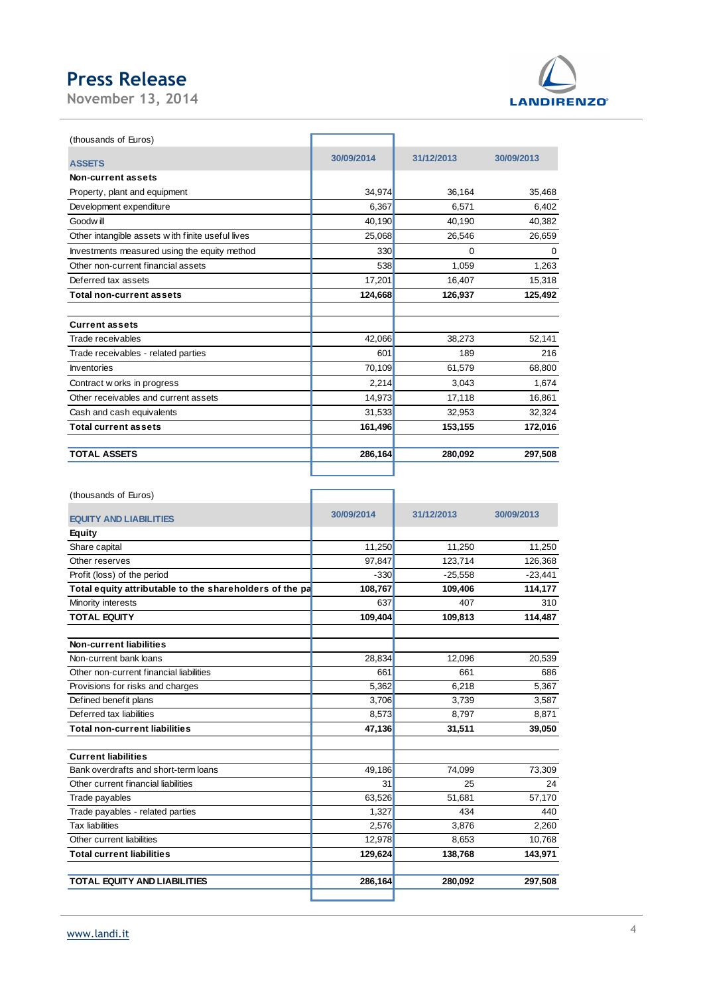**November 13, 2014** 



| (thousands of Euros)                             |            |            |            |
|--------------------------------------------------|------------|------------|------------|
| <b>ASSETS</b>                                    | 30/09/2014 | 31/12/2013 | 30/09/2013 |
| Non-current assets                               |            |            |            |
| Property, plant and equipment                    | 34,974     | 36,164     | 35,468     |
| Development expenditure                          | 6,367      | 6,571      | 6,402      |
| Goodw ill                                        | 40,190     | 40,190     | 40,382     |
| Other intangible assets with finite useful lives | 25,068     | 26,546     | 26,659     |
| Investments measured using the equity method     | 330        | 0          | 0          |
| Other non-current financial assets               | 538        | 1,059      | 1,263      |
| Deferred tax assets                              | 17,201     | 16,407     | 15,318     |
| <b>Total non-current assets</b>                  | 124,668    | 126,937    | 125,492    |
|                                                  |            |            |            |
| <b>Current assets</b>                            |            |            |            |
| Trade receivables                                | 42,066     | 38,273     | 52,141     |
| Trade receivables - related parties              | 601        | 189        | 216        |
| <b>Inventories</b>                               | 70,109     | 61,579     | 68,800     |
| Contract w orks in progress                      | 2,214      | 3,043      | 1,674      |
| Other receivables and current assets             | 14,973     | 17,118     | 16,861     |
| Cash and cash equivalents                        | 31,533     | 32,953     | 32,324     |
| <b>Total current assets</b>                      | 161,496    | 153,155    | 172,016    |
| <b>TOTAL ASSETS</b>                              | 286,164    | 280,092    | 297,508    |
|                                                  |            |            |            |

Г

٦

(thousands of Euros)

| 30/09/2014 | 31/12/2013                                                                                                    | 30/09/2013                                             |
|------------|---------------------------------------------------------------------------------------------------------------|--------------------------------------------------------|
|            |                                                                                                               |                                                        |
|            |                                                                                                               | 11,250                                                 |
| 97.847     | 123.714                                                                                                       | 126,368                                                |
| $-330$     |                                                                                                               | $-23,441$                                              |
| 108,767    | 109,406                                                                                                       | 114,177                                                |
| 637        | 407                                                                                                           | 310                                                    |
| 109,404    | 109,813                                                                                                       | 114,487                                                |
|            |                                                                                                               |                                                        |
|            |                                                                                                               | 20,539                                                 |
|            |                                                                                                               | 686                                                    |
|            |                                                                                                               | 5,367                                                  |
|            | 3.739                                                                                                         | 3,587                                                  |
|            |                                                                                                               | 8,871                                                  |
| 47,136     | 31,511                                                                                                        | 39,050                                                 |
|            |                                                                                                               |                                                        |
| 49,186     | 74,099                                                                                                        | 73,309                                                 |
| 31         | 25                                                                                                            | 24                                                     |
| 63,526     | 51,681                                                                                                        | 57,170                                                 |
| 1,327      | 434                                                                                                           | 440                                                    |
| 2,576      | 3,876                                                                                                         | 2,260                                                  |
| 12,978     | 8.653                                                                                                         | 10.768                                                 |
| 129,624    | 138,768                                                                                                       | 143,971                                                |
| 286,164    | 280,092                                                                                                       | 297,508                                                |
|            | 11,250<br>Total equity attributable to the shareholders of the pa<br>28,834<br>661<br>5,362<br>3,706<br>8,573 | 11,250<br>$-25,558$<br>12,096<br>661<br>6,218<br>8,797 |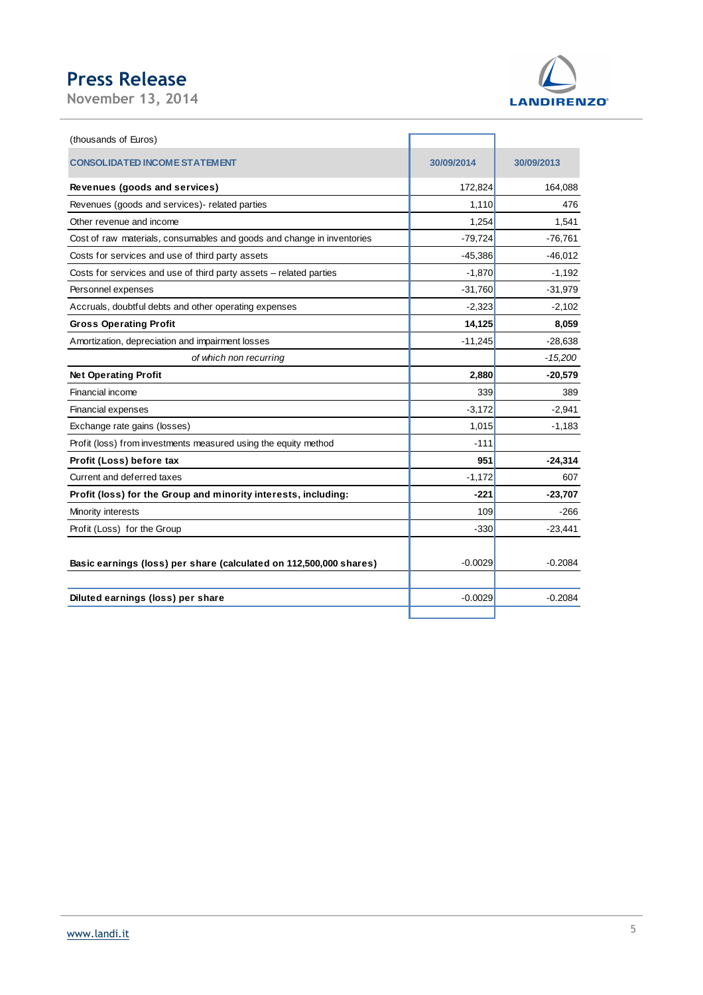**November 13, 2014** 



(thousands of Euros) **CONSOLIDATED INCOME STATEMENT 30/09/2014 30/09/2013 Revenues (goods and services)** 172,824 164,088 Revenues (goods and services)- related parties 1,110 and 1,110 and 1,110 and 1,110 and 176 Other revenue and income 1,541 1,541 1,541 1,541 1,541 1,541 1,541 1,541 1,541 1,541 1,541 1,541 1,541 1,541 1,541 1,541 1,541 1,541 1,541 1,541 1,541 1,541 1,541 1,541 1,541 1,541 1,541 1,541 1,541 1,541 1,541 1,541 1,541 Cost of raw materials, consumables and goods and change in inventories -79,724 -76,761 Costs for services and use of third party assets -45,386 -45,386 -46,012 Costs for services and use of third party assets – related parties -1,870 -1,192 Personnel expenses -31,979 -31,979 -31,979 -31,979 -31,979 -31,979 -31,979 -31,979 -31,979 -31,979 -31,979 -31,979 -31,979 -31,979 -31,979 -31,979 -31,979 -31,979 -31,979 -31,979 -31,979 -31,979 -31,979 -31,979 -31,979 -31 Accruals, doubtful debts and other operating expenses and the state of the state of the state of the state of the state of the state of the state of the state of the state of the state of the state of the state of the stat **Gross Operating Profit 14,125** 8,059 Amortization, depreciation and impairment losses -11,245 -11,245 -28,638 of which non recurring  $\vert$  and  $\vert$  and  $\vert$  =  $\vert$  =  $\vert$  =  $\vert$  =  $\vert$  =  $\vert$  =  $\vert$  =  $\vert$  =  $\vert$  =  $\vert$  =  $\vert$  =  $\vert$  =  $\vert$  =  $\vert$  =  $\vert$  =  $\vert$  =  $\vert$  =  $\vert$  =  $\vert$  =  $\vert$  =  $\vert$  =  $\vert$  =  $\vert$  =  $\vert$  =  $\vert$  =  $\vert$  = **Net Operating Profit 20,579 2,880 -20,579** Financial income 339 389 Financial expenses  $-3,172$  -2,941 Exchange rate gains (losses) 1,015 -1,183 Profit (loss) from investments measured using the equity method -111 **Profit (Loss) before tax 951 -24,314** Current and deferred taxes 607 **Profit (loss) for the Group and minority interests, including: 4221 -221 -23,707** Minority interests **109** -266 Profit (Loss) for the Group  $-23,441$ **Basic earnings (loss) per share (calculated on 112,500,000 shares)** -0.0029 -0.0029 -0.2084 **Diluted earnings (loss) per share and the state of the state of the state of the state of the state of the state of the state of the state of the state of the state of the state of the state of the state of the state of**